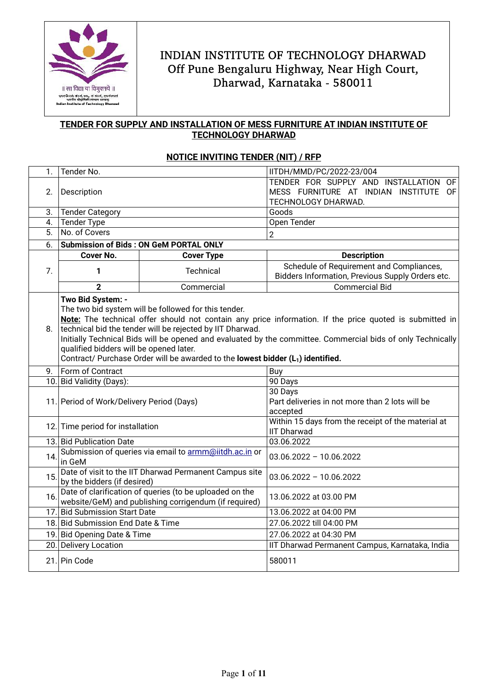

## **TENDER FOR SUPPLY AND INSTALLATION OF MESS FURNITURE AT INDIAN INSTITUTE OF TECHNOLOGY DHARWAD**

### **NOTICE INVITING TENDER (NIT) / RFP**

| $\mathbf{1}$ . | Tender No.                                                                                                                                                                                                                                                                                                                                                                                                                                                                                                 |                                               | IITDH/MMD/PC/2022-23/004                                                                                  |  |
|----------------|------------------------------------------------------------------------------------------------------------------------------------------------------------------------------------------------------------------------------------------------------------------------------------------------------------------------------------------------------------------------------------------------------------------------------------------------------------------------------------------------------------|-----------------------------------------------|-----------------------------------------------------------------------------------------------------------|--|
| 2.             | Description                                                                                                                                                                                                                                                                                                                                                                                                                                                                                                |                                               | TENDER FOR SUPPLY AND INSTALLATION<br>OF.<br>MESS FURNITURE AT INDIAN INSTITUTE OF<br>TECHNOLOGY DHARWAD. |  |
| 3.             | <b>Tender Category</b>                                                                                                                                                                                                                                                                                                                                                                                                                                                                                     |                                               | Goods                                                                                                     |  |
| 4.             | <b>Tender Type</b>                                                                                                                                                                                                                                                                                                                                                                                                                                                                                         |                                               | Open Tender                                                                                               |  |
| 5.             | No. of Covers                                                                                                                                                                                                                                                                                                                                                                                                                                                                                              |                                               | $\overline{2}$                                                                                            |  |
| 6.             |                                                                                                                                                                                                                                                                                                                                                                                                                                                                                                            | <b>Submission of Bids: ON GeM PORTAL ONLY</b> |                                                                                                           |  |
|                | <b>Cover No.</b>                                                                                                                                                                                                                                                                                                                                                                                                                                                                                           | <b>Cover Type</b>                             | <b>Description</b>                                                                                        |  |
| 7.             | 1                                                                                                                                                                                                                                                                                                                                                                                                                                                                                                          | Technical                                     | Schedule of Requirement and Compliances,<br>Bidders Information, Previous Supply Orders etc.              |  |
|                | $\overline{2}$                                                                                                                                                                                                                                                                                                                                                                                                                                                                                             | Commercial                                    | <b>Commercial Bid</b>                                                                                     |  |
| 8.             | Two Bid System: -<br>The two bid system will be followed for this tender.<br>Note: The technical offer should not contain any price information. If the price quoted is submitted in<br>technical bid the tender will be rejected by IIT Dharwad.<br>Initially Technical Bids will be opened and evaluated by the committee. Commercial bids of only Technically<br>qualified bidders will be opened later.<br>Contract/ Purchase Order will be awarded to the lowest bidder (L <sub>1</sub> ) identified. |                                               |                                                                                                           |  |
| 9.             | Form of Contract<br>Buy                                                                                                                                                                                                                                                                                                                                                                                                                                                                                    |                                               |                                                                                                           |  |
|                | 10. Bid Validity (Days):                                                                                                                                                                                                                                                                                                                                                                                                                                                                                   |                                               | 90 Days                                                                                                   |  |
|                | 11. Period of Work/Delivery Period (Days)                                                                                                                                                                                                                                                                                                                                                                                                                                                                  |                                               | 30 Days<br>Part deliveries in not more than 2 lots will be<br>accepted                                    |  |
|                | 12. Time period for installation                                                                                                                                                                                                                                                                                                                                                                                                                                                                           |                                               | Within 15 days from the receipt of the material at<br><b>IIT Dharwad</b>                                  |  |
|                | 13. Bid Publication Date                                                                                                                                                                                                                                                                                                                                                                                                                                                                                   |                                               | 03.06.2022                                                                                                |  |
| 14.            | Submission of queries via email to armm@iitdh.ac.in or<br>in GeM                                                                                                                                                                                                                                                                                                                                                                                                                                           |                                               | $03.06.2022 - 10.06.2022$                                                                                 |  |
| 15.            | Date of visit to the IIT Dharwad Permanent Campus site<br>by the bidders (if desired)                                                                                                                                                                                                                                                                                                                                                                                                                      |                                               | $03.06.2022 - 10.06.2022$                                                                                 |  |
| 16.            | Date of clarification of queries (to be uploaded on the<br>website/GeM) and publishing corrigendum (if required)                                                                                                                                                                                                                                                                                                                                                                                           |                                               | 13.06.2022 at 03.00 PM                                                                                    |  |
|                | 17. Bid Submission Start Date                                                                                                                                                                                                                                                                                                                                                                                                                                                                              |                                               | 13.06.2022 at 04:00 PM                                                                                    |  |
|                | 18. Bid Submission End Date & Time                                                                                                                                                                                                                                                                                                                                                                                                                                                                         |                                               | 27.06.2022 till 04:00 PM                                                                                  |  |
|                | 19. Bid Opening Date & Time                                                                                                                                                                                                                                                                                                                                                                                                                                                                                |                                               | 27.06.2022 at 04:30 PM                                                                                    |  |
| 20.            | <b>Delivery Location</b>                                                                                                                                                                                                                                                                                                                                                                                                                                                                                   |                                               | IIT Dharwad Permanent Campus, Karnataka, India                                                            |  |
|                | 21. Pin Code                                                                                                                                                                                                                                                                                                                                                                                                                                                                                               |                                               | 580011                                                                                                    |  |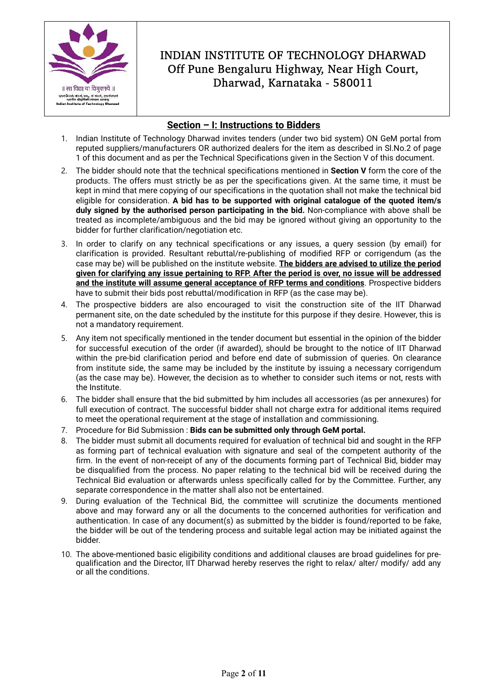

### **Section – I: Instructions to Bidders**

- 1. Indian Institute of Technology Dharwad invites tenders (under two bid system) ON GeM portal from reputed suppliers/manufacturers OR authorized dealers for the item as described in Sl.No.2 of page 1 of this document and as per the Technical Specifications given in the Section V of this document.
- 2. The bidder should note that the technical specifications mentioned in **Section V** form the core of the products. The offers must strictly be as per the specifications given. At the same time, it must be kept in mind that mere copying of our specifications in the quotation shall not make the technical bid eligible for consideration. **A bid has to be supported with original catalogue of the quoted item/s duly signed by the authorised person participating in the bid.** Non-compliance with above shall be treated as incomplete/ambiguous and the bid may be ignored without giving an opportunity to the bidder for further clarification/negotiation etc.
- 3. In order to clarify on any technical specifications or any issues, a query session (by email) for clarification is provided. Resultant rebuttal/re-publishing of modified RFP or corrigendum (as the case may be) will be published on the institute website. **The bidders are advised to utilize the period given for clarifying any issue pertaining to RFP. After the period is over, no issue will be addressed and the institute will assume general acceptance of RFP terms and conditions**. Prospective bidders have to submit their bids post rebuttal/modification in RFP (as the case may be).
- 4. The prospective bidders are also encouraged to visit the construction site of the IIT Dharwad permanent site, on the date scheduled by the institute for this purpose if they desire. However, this is not a mandatory requirement.
- 5. Any item not specifically mentioned in the tender document but essential in the opinion of the bidder for successful execution of the order (if awarded), should be brought to the notice of IIT Dharwad within the pre-bid clarification period and before end date of submission of queries. On clearance from institute side, the same may be included by the institute by issuing a necessary corrigendum (as the case may be). However, the decision as to whether to consider such items or not, rests with the Institute.
- 6. The bidder shall ensure that the bid submitted by him includes all accessories (as per annexures) for full execution of contract. The successful bidder shall not charge extra for additional items required to meet the operational requirement at the stage of installation and commissioning.
- 7. Procedure for Bid Submission : **Bids can be submitted only through GeM portal.**
- 8. The bidder must submit all documents required for evaluation of technical bid and sought in the RFP as forming part of technical evaluation with signature and seal of the competent authority of the firm. In the event of non-receipt of any of the documents forming part of Technical Bid, bidder may be disqualified from the process. No paper relating to the technical bid will be received during the Technical Bid evaluation or afterwards unless specifically called for by the Committee. Further, any separate correspondence in the matter shall also not be entertained.
- 9. During evaluation of the Technical Bid, the committee will scrutinize the documents mentioned above and may forward any or all the documents to the concerned authorities for verification and authentication. In case of any document(s) as submitted by the bidder is found/reported to be fake, the bidder will be out of the tendering process and suitable legal action may be initiated against the bidder.
- 10. The above-mentioned basic eligibility conditions and additional clauses are broad guidelines for prequalification and the Director, IIT Dharwad hereby reserves the right to relax/ alter/ modify/ add any or all the conditions.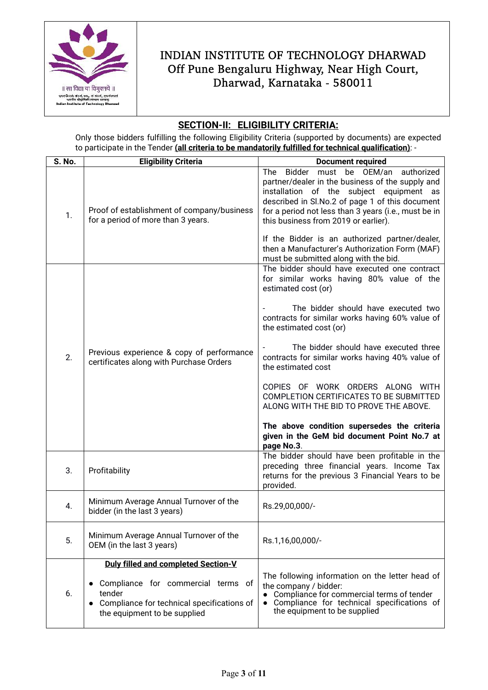

## **SECTION-II: ELIGIBILITY CRITERIA:**

Only those bidders fulfilling the following Eligibility Criteria (supported by documents) are expected to participate in the Tender **(all criteria to be mandatorily fulfilled for technical qualification)**: -

| S. No. | <b>Eligibility Criteria</b>                                                                                                    | <b>Document required</b>                                                                                                                                                                                                                                                                      |
|--------|--------------------------------------------------------------------------------------------------------------------------------|-----------------------------------------------------------------------------------------------------------------------------------------------------------------------------------------------------------------------------------------------------------------------------------------------|
| 1.     | Proof of establishment of company/business<br>for a period of more than 3 years.                                               | Bidder must be OEM/an<br>The<br>authorized<br>partner/dealer in the business of the supply and<br>installation of the subject equipment as<br>described in Sl.No.2 of page 1 of this document<br>for a period not less than 3 years (i.e., must be in<br>this business from 2019 or earlier). |
|        |                                                                                                                                | If the Bidder is an authorized partner/dealer,<br>then a Manufacturer's Authorization Form (MAF)<br>must be submitted along with the bid.                                                                                                                                                     |
| 2.     |                                                                                                                                | The bidder should have executed one contract<br>for similar works having 80% value of the<br>estimated cost (or)                                                                                                                                                                              |
|        |                                                                                                                                | The bidder should have executed two<br>contracts for similar works having 60% value of<br>the estimated cost (or)                                                                                                                                                                             |
|        | Previous experience & copy of performance<br>certificates along with Purchase Orders                                           | The bidder should have executed three<br>contracts for similar works having 40% value of<br>the estimated cost                                                                                                                                                                                |
|        |                                                                                                                                | COPIES OF WORK ORDERS ALONG<br><b>WITH</b><br>COMPLETION CERTIFICATES TO BE SUBMITTED<br>ALONG WITH THE BID TO PROVE THE ABOVE.                                                                                                                                                               |
|        |                                                                                                                                | The above condition supersedes the criteria<br>given in the GeM bid document Point No.7 at<br>page No.3.                                                                                                                                                                                      |
| 3.     | Profitability                                                                                                                  | The bidder should have been profitable in the<br>preceding three financial years. Income Tax<br>returns for the previous 3 Financial Years to be<br>provided.                                                                                                                                 |
| 4.     | Minimum Average Annual Turnover of the<br>bidder (in the last 3 years)                                                         | Rs.29,00,000/-                                                                                                                                                                                                                                                                                |
| 5.     | Minimum Average Annual Turnover of the<br>OEM (in the last 3 years)                                                            | Rs.1,16,00,000/-                                                                                                                                                                                                                                                                              |
| 6.     | Duly filled and completed Section-V                                                                                            |                                                                                                                                                                                                                                                                                               |
|        | • Compliance for commercial terms of<br>tender<br>• Compliance for technical specifications of<br>the equipment to be supplied | The following information on the letter head of<br>the company / bidder:<br>Compliance for commercial terms of tender<br>Compliance for technical specifications of<br>the equipment to be supplied                                                                                           |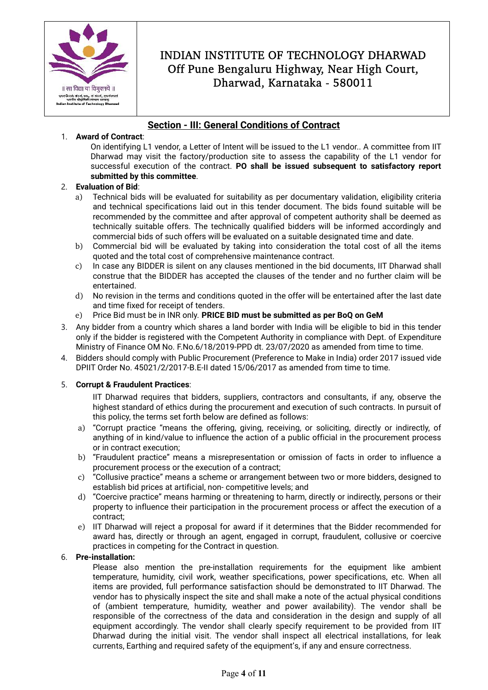

## **Section - III: General Conditions of Contract**

### 1. **Award of Contract**:

On identifying L1 vendor, a Letter of Intent will be issued to the L1 vendor.. A committee from IIT Dharwad may visit the factory/production site to assess the capability of the L1 vendor for successful execution of the contract. **PO shall be issued subsequent to satisfactory report submitted by this committee**.

### 2. **Evaluation of Bid**:

- a) Technical bids will be evaluated for suitability as per documentary validation, eligibility criteria and technical specifications laid out in this tender document. The bids found suitable will be recommended by the committee and after approval of competent authority shall be deemed as technically suitable offers. The technically qualified bidders will be informed accordingly and commercial bids of such offers will be evaluated on a suitable designated time and date.
- b) Commercial bid will be evaluated by taking into consideration the total cost of all the items quoted and the total cost of comprehensive maintenance contract.
- c) In case any BIDDER is silent on any clauses mentioned in the bid documents, IIT Dharwad shall construe that the BIDDER has accepted the clauses of the tender and no further claim will be entertained.
- d) No revision in the terms and conditions quoted in the offer will be entertained after the last date and time fixed for receipt of tenders.
- e) Price Bid must be in INR only. **PRICE BID must be submitted as per BoQ on GeM**
- 3. Any bidder from a country which shares a land border with India will be eligible to bid in this tender only if the bidder is registered with the Competent Authority in compliance with Dept. of Expenditure Ministry of Finance OM No. F.No.6/18/2019-PPD dt. 23/07/2020 as amended from time to time.
- 4. Bidders should comply with Public Procurement (Preference to Make in India) order 2017 issued vide DPIIT Order No. 45021/2/2017-B.E-II dated 15/06/2017 as amended from time to time.

### 5. **Corrupt & Fraudulent Practices**:

IIT Dharwad requires that bidders, suppliers, contractors and consultants, if any, observe the highest standard of ethics during the procurement and execution of such contracts. In pursuit of this policy, the terms set forth below are defined as follows:

- a) "Corrupt practice "means the offering, giving, receiving, or soliciting, directly or indirectly, of anything of in kind/value to influence the action of a public official in the procurement process or in contract execution;
- b) "Fraudulent practice" means a misrepresentation or omission of facts in order to influence a procurement process or the execution of a contract;
- c) "Collusive practice" means a scheme or arrangement between two or more bidders, designed to establish bid prices at artificial, non- competitive levels; and
- d) "Coercive practice" means harming or threatening to harm, directly or indirectly, persons or their property to influence their participation in the procurement process or affect the execution of a contract;
- e) IIT Dharwad will reject a proposal for award if it determines that the Bidder recommended for award has, directly or through an agent, engaged in corrupt, fraudulent, collusive or coercive practices in competing for the Contract in question.

#### 6. **Pre-installation:**

Please also mention the pre-installation requirements for the equipment like ambient temperature, humidity, civil work, weather specifications, power specifications, etc. When all items are provided, full performance satisfaction should be demonstrated to IIT Dharwad. The vendor has to physically inspect the site and shall make a note of the actual physical conditions of (ambient temperature, humidity, weather and power availability). The vendor shall be responsible of the correctness of the data and consideration in the design and supply of all equipment accordingly. The vendor shall clearly specify requirement to be provided from IIT Dharwad during the initial visit. The vendor shall inspect all electrical installations, for leak currents, Earthing and required safety of the equipment's, if any and ensure correctness.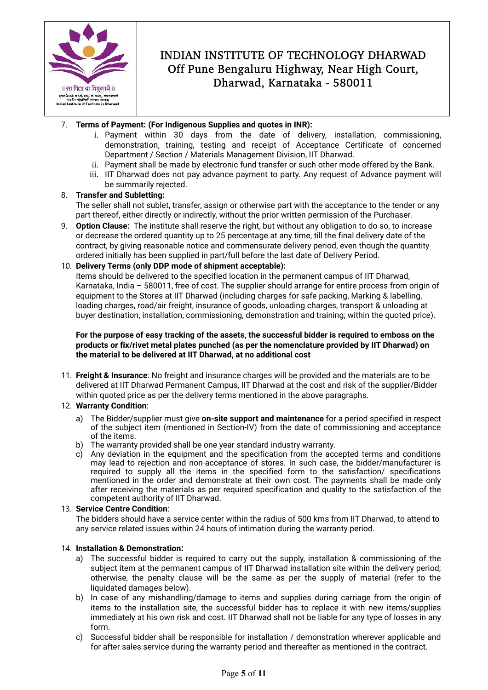

### 7. **Terms of Payment: (For Indigenous Supplies and quotes in INR):**

- i. Payment within 30 days from the date of delivery, installation, commissioning, demonstration, training, testing and receipt of Acceptance Certificate of concerned Department / Section / Materials Management Division, IIT Dharwad.
- ii. Payment shall be made by electronic fund transfer or such other mode offered by the Bank.
- iii. IIT Dharwad does not pay advance payment to party. Any request of Advance payment will be summarily rejected.

#### 8. **Transfer and Subletting:**

The seller shall not sublet, transfer, assign or otherwise part with the acceptance to the tender or any part thereof, either directly or indirectly, without the prior written permission of the Purchaser.

9. **Option Clause:** The institute shall reserve the right, but without any obligation to do so, to increase or decrease the ordered quantity up to 25 percentage at any time, till the final delivery date of the contract, by giving reasonable notice and commensurate delivery period, even though the quantity ordered initially has been supplied in part/full before the last date of Delivery Period.

#### 10. **Delivery Terms (only DDP mode of shipment acceptable):**

Items should be delivered to the specified location in the permanent campus of IIT Dharwad, Karnataka, India – 580011, free of cost. The supplier should arrange for entire process from origin of equipment to the Stores at IIT Dharwad (including charges for safe packing, Marking & labelling, loading charges, road/air freight, insurance of goods, unloading charges, transport & unloading at buyer destination, installation, commissioning, demonstration and training; within the quoted price).

#### **For the purpose of easy tracking of the assets, the successful bidder is required to emboss on the products or fix/rivet metal plates punched (as per the nomenclature provided by IIT Dharwad) on the material to be delivered at IIT Dharwad, at no additional cost**

11. **Freight & Insurance**: No freight and insurance charges will be provided and the materials are to be delivered at IIT Dharwad Permanent Campus, IIT Dharwad at the cost and risk of the supplier/Bidder within quoted price as per the delivery terms mentioned in the above paragraphs.

#### 12. **Warranty Condition**:

- a) The Bidder/supplier must give **on-site support and maintenance** for a period specified in respect of the subject item (mentioned in Section-IV) from the date of commissioning and acceptance of the items.
- b) The warranty provided shall be one year standard industry warranty.
- c) Any deviation in the equipment and the specification from the accepted terms and conditions may lead to rejection and non-acceptance of stores. In such case, the bidder/manufacturer is required to supply all the items in the specified form to the satisfaction/ specifications mentioned in the order and demonstrate at their own cost. The payments shall be made only after receiving the materials as per required specification and quality to the satisfaction of the competent authority of IIT Dharwad.

#### 13. **Service Centre Condition**:

The bidders should have a service center within the radius of 500 kms from IIT Dharwad, to attend to any service related issues within 24 hours of intimation during the warranty period.

#### 14. **Installation & Demonstration:**

- a) The successful bidder is required to carry out the supply, installation & commissioning of the subject item at the permanent campus of IIT Dharwad installation site within the delivery period; otherwise, the penalty clause will be the same as per the supply of material (refer to the liquidated damages below).
- b) In case of any mishandling/damage to items and supplies during carriage from the origin of items to the installation site, the successful bidder has to replace it with new items/supplies immediately at his own risk and cost. IIT Dharwad shall not be liable for any type of losses in any form.
- c) Successful bidder shall be responsible for installation / demonstration wherever applicable and for after sales service during the warranty period and thereafter as mentioned in the contract.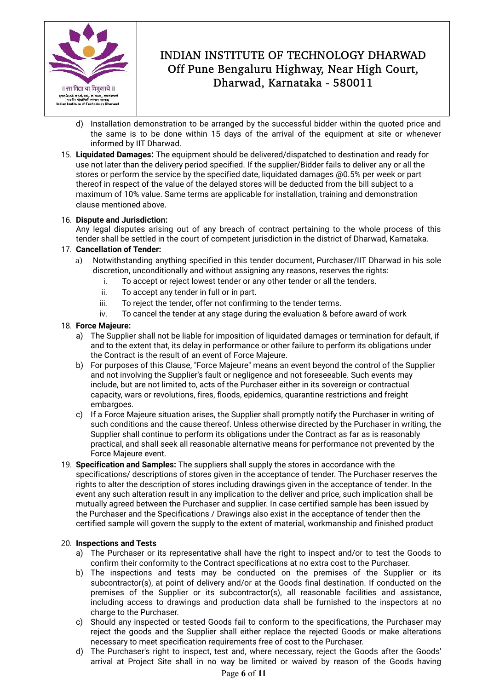

- d) Installation demonstration to be arranged by the successful bidder within the quoted price and the same is to be done within 15 days of the arrival of the equipment at site or whenever informed by IIT Dharwad.
- 15. **Liquidated Damages:** The equipment should be delivered/dispatched to destination and ready for use not later than the delivery period specified. If the supplier/Bidder fails to deliver any or all the stores or perform the service by the specified date, liquidated damages @0.5% per week or part thereof in respect of the value of the delayed stores will be deducted from the bill subject to a maximum of 10% value. Same terms are applicable for installation, training and demonstration clause mentioned above.

### 16. **Dispute and Jurisdiction:**

Any legal disputes arising out of any breach of contract pertaining to the whole process of this tender shall be settled in the court of competent jurisdiction in the district of Dharwad, Karnataka.

### 17. **Cancellation of Tender:**

- a) Notwithstanding anything specified in this tender document, Purchaser/IIT Dharwad in his sole discretion, unconditionally and without assigning any reasons, reserves the rights:
	- i. To accept or reject lowest tender or any other tender or all the tenders.
	- ii. To accept any tender in full or in part.
	- iii. To reject the tender, offer not confirming to the tender terms.
	- iv. To cancel the tender at any stage during the evaluation & before award of work

#### 18. **Force Majeure:**

- a) The Supplier shall not be liable for imposition of liquidated damages or termination for default, if and to the extent that, its delay in performance or other failure to perform its obligations under the Contract is the result of an event of Force Majeure.
- b) For purposes of this Clause, "Force Majeure" means an event beyond the control of the Supplier and not involving the Supplier's fault or negligence and not foreseeable. Such events may include, but are not limited to, acts of the Purchaser either in its sovereign or contractual capacity, wars or revolutions, fires, floods, epidemics, quarantine restrictions and freight embargoes.
- c) If a Force Majeure situation arises, the Supplier shall promptly notify the Purchaser in writing of such conditions and the cause thereof. Unless otherwise directed by the Purchaser in writing, the Supplier shall continue to perform its obligations under the Contract as far as is reasonably practical, and shall seek all reasonable alternative means for performance not prevented by the Force Majeure event.
- 19. **Specification and Samples:** The suppliers shall supply the stores in accordance with the specifications/ descriptions of stores given in the acceptance of tender. The Purchaser reserves the rights to alter the description of stores including drawings given in the acceptance of tender. In the event any such alteration result in any implication to the deliver and price, such implication shall be mutually agreed between the Purchaser and supplier. In case certified sample has been issued by the Purchaser and the Specifications / Drawings also exist in the acceptance of tender then the certified sample will govern the supply to the extent of material, workmanship and finished product

#### 20. **Inspections and Tests**

- a) The Purchaser or its representative shall have the right to inspect and/or to test the Goods to confirm their conformity to the Contract specifications at no extra cost to the Purchaser.
- b) The inspections and tests may be conducted on the premises of the Supplier or its subcontractor(s), at point of delivery and/or at the Goods final destination. If conducted on the premises of the Supplier or its subcontractor(s), all reasonable facilities and assistance, including access to drawings and production data shall be furnished to the inspectors at no charge to the Purchaser.
- c) Should any inspected or tested Goods fail to conform to the specifications, the Purchaser may reject the goods and the Supplier shall either replace the rejected Goods or make alterations necessary to meet specification requirements free of cost to the Purchaser.
- d) The Purchaser's right to inspect, test and, where necessary, reject the Goods after the Goods' arrival at Project Site shall in no way be limited or waived by reason of the Goods having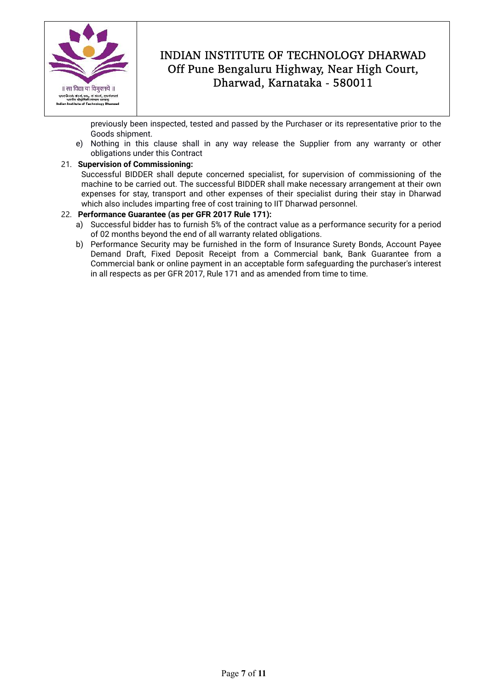

previously been inspected, tested and passed by the Purchaser or its representative prior to the Goods shipment.

e) Nothing in this clause shall in any way release the Supplier from any warranty or other obligations under this Contract

### 21. **Supervision of Commissioning:**

Successful BIDDER shall depute concerned specialist, for supervision of commissioning of the machine to be carried out. The successful BIDDER shall make necessary arrangement at their own expenses for stay, transport and other expenses of their specialist during their stay in Dharwad which also includes imparting free of cost training to IIT Dharwad personnel.

### 22. **Performance Guarantee (as per GFR 2017 Rule 171):**

- a) Successful bidder has to furnish 5% of the contract value as a performance security for a period of 02 months beyond the end of all warranty related obligations.
- b) Performance Security may be furnished in the form of Insurance Surety Bonds, Account Payee Demand Draft, Fixed Deposit Receipt from a Commercial bank, Bank Guarantee from a Commercial bank or online payment in an acceptable form safeguarding the purchaser's interest in all respects as per GFR 2017, Rule 171 and as amended from time to time.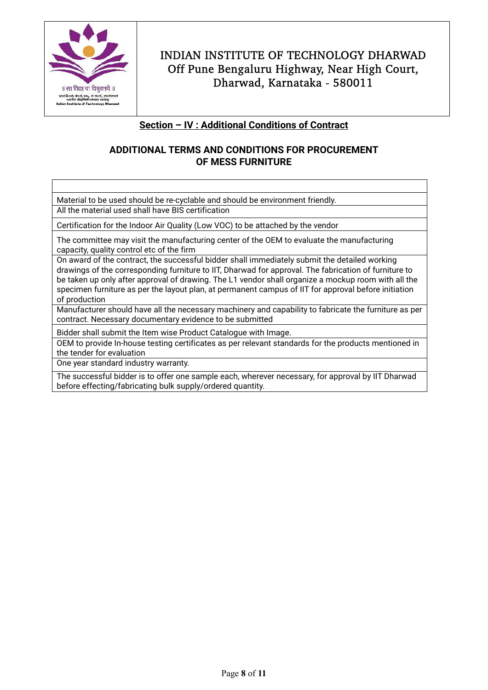

## **Section – IV : Additional Conditions of Contract**

## **ADDITIONAL TERMS AND CONDITIONS FOR PROCUREMENT OF MESS FURNITURE**

Material to be used should be re-cyclable and should be environment friendly. All the material used shall have BIS certification

Certification for the Indoor Air Quality (Low VOC) to be attached by the vendor

The committee may visit the manufacturing center of the OEM to evaluate the manufacturing capacity, quality control etc of the firm

On award of the contract, the successful bidder shall immediately submit the detailed working drawings of the corresponding furniture to IIT, Dharwad for approval. The fabrication of furniture to be taken up only after approval of drawing. The L1 vendor shall organize a mockup room with all the specimen furniture as per the layout plan, at permanent campus of IIT for approval before initiation of production

Manufacturer should have all the necessary machinery and capability to fabricate the furniture as per contract. Necessary documentary evidence to be submitted

Bidder shall submit the Item wise Product Catalogue with Image.

OEM to provide In-house testing certificates as per relevant standards for the products mentioned in the tender for evaluation

One year standard industry warranty.

The successful bidder is to offer one sample each, wherever necessary, for approval by IIT Dharwad before effecting/fabricating bulk supply/ordered quantity.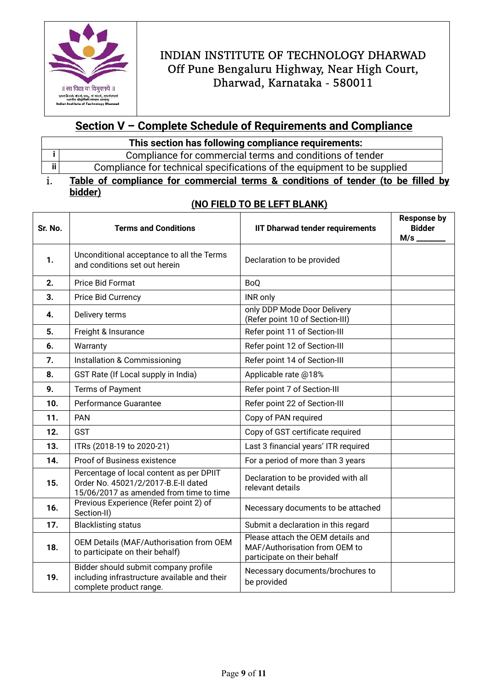

# **Section V – Complete Schedule of Requirements and Compliance**

| This section has following compliance requirements: |  |
|-----------------------------------------------------|--|
|-----------------------------------------------------|--|

|    | Compliance for commercial terms and conditions of tender                |
|----|-------------------------------------------------------------------------|
| ii | Compliance for technical specifications of the equipment to be supplied |
|    |                                                                         |

```
i. Table of compliance for commercial terms & conditions of tender (to be filled by 
bidder)
```
## **(NO FIELD TO BE LEFT BLANK)**

| Sr. No. | <b>Terms and Conditions</b>                                                                                                | <b>IIT Dharwad tender requirements</b>                                                            | <b>Response by</b><br><b>Bidder</b><br>$M/s$ __ |
|---------|----------------------------------------------------------------------------------------------------------------------------|---------------------------------------------------------------------------------------------------|-------------------------------------------------|
| 1.      | Unconditional acceptance to all the Terms<br>and conditions set out herein                                                 | Declaration to be provided                                                                        |                                                 |
| 2.      | Price Bid Format                                                                                                           | <b>BoQ</b>                                                                                        |                                                 |
| 3.      | Price Bid Currency                                                                                                         | INR only                                                                                          |                                                 |
| 4.      | Delivery terms                                                                                                             | only DDP Mode Door Delivery<br>(Refer point 10 of Section-III)                                    |                                                 |
| 5.      | Freight & Insurance                                                                                                        | Refer point 11 of Section-III                                                                     |                                                 |
| 6.      | Warranty                                                                                                                   | Refer point 12 of Section-III                                                                     |                                                 |
| 7.      | Installation & Commissioning                                                                                               | Refer point 14 of Section-III                                                                     |                                                 |
| 8.      | GST Rate (If Local supply in India)                                                                                        | Applicable rate @18%                                                                              |                                                 |
| 9.      | Terms of Payment                                                                                                           | Refer point 7 of Section-III                                                                      |                                                 |
| 10.     | Performance Guarantee                                                                                                      | Refer point 22 of Section-III                                                                     |                                                 |
| 11.     | <b>PAN</b>                                                                                                                 | Copy of PAN required                                                                              |                                                 |
| 12.     | GST                                                                                                                        | Copy of GST certificate required                                                                  |                                                 |
| 13.     | Last 3 financial years' ITR required<br>ITRs (2018-19 to 2020-21)                                                          |                                                                                                   |                                                 |
| 14.     | Proof of Business existence                                                                                                | For a period of more than 3 years                                                                 |                                                 |
| 15.     | Percentage of local content as per DPIIT<br>Order No. 45021/2/2017-B.E-II dated<br>15/06/2017 as amended from time to time | Declaration to be provided with all<br>relevant details                                           |                                                 |
| 16.     | Previous Experience (Refer point 2) of<br>Section-II)                                                                      | Necessary documents to be attached                                                                |                                                 |
| 17.     | <b>Blacklisting status</b>                                                                                                 | Submit a declaration in this regard                                                               |                                                 |
| 18.     | OEM Details (MAF/Authorisation from OEM<br>to participate on their behalf)                                                 | Please attach the OEM details and<br>MAF/Authorisation from OEM to<br>participate on their behalf |                                                 |
| 19.     | Bidder should submit company profile<br>including infrastructure available and their<br>complete product range.            | Necessary documents/brochures to<br>be provided                                                   |                                                 |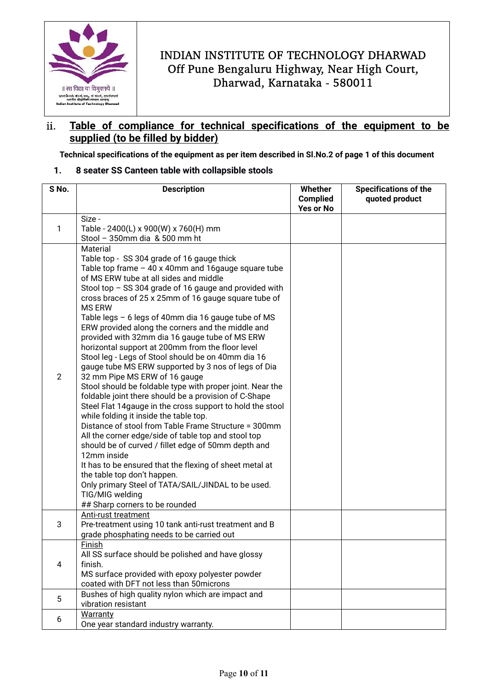

## ii. **Table of compliance for technical specifications of the equipment to be supplied (to be filled by bidder)**

 **Technical specifications of the equipment as per item described in Sl.No.2 of page 1 of this document** 

### **1. 8 seater SS Canteen table with collapsible stools**

| S No.          | <b>Description</b>                                                                                                                                                                                                                                                                                                                                                                                                                                                                                                                                                                                                                                                                                                                                                                                                                                                                                                                                                                                                                                                                                                                                                                                                                                                     | Whether                      | <b>Specifications of the</b> |  |
|----------------|------------------------------------------------------------------------------------------------------------------------------------------------------------------------------------------------------------------------------------------------------------------------------------------------------------------------------------------------------------------------------------------------------------------------------------------------------------------------------------------------------------------------------------------------------------------------------------------------------------------------------------------------------------------------------------------------------------------------------------------------------------------------------------------------------------------------------------------------------------------------------------------------------------------------------------------------------------------------------------------------------------------------------------------------------------------------------------------------------------------------------------------------------------------------------------------------------------------------------------------------------------------------|------------------------------|------------------------------|--|
|                |                                                                                                                                                                                                                                                                                                                                                                                                                                                                                                                                                                                                                                                                                                                                                                                                                                                                                                                                                                                                                                                                                                                                                                                                                                                                        | <b>Complied</b><br>Yes or No | quoted product               |  |
|                | Size -                                                                                                                                                                                                                                                                                                                                                                                                                                                                                                                                                                                                                                                                                                                                                                                                                                                                                                                                                                                                                                                                                                                                                                                                                                                                 |                              |                              |  |
| 1              | Table - 2400(L) x 900(W) x 760(H) mm<br>Stool - 350mm dia & 500 mm ht                                                                                                                                                                                                                                                                                                                                                                                                                                                                                                                                                                                                                                                                                                                                                                                                                                                                                                                                                                                                                                                                                                                                                                                                  |                              |                              |  |
|                | Material                                                                                                                                                                                                                                                                                                                                                                                                                                                                                                                                                                                                                                                                                                                                                                                                                                                                                                                                                                                                                                                                                                                                                                                                                                                               |                              |                              |  |
| $\overline{2}$ | Table top - SS 304 grade of 16 gauge thick<br>Table top frame $-40x40$ mm and 16 gauge square tube<br>of MS ERW tube at all sides and middle<br>Stool top - SS 304 grade of 16 gauge and provided with<br>cross braces of 25 x 25mm of 16 gauge square tube of<br><b>MS ERW</b><br>Table legs - 6 legs of 40mm dia 16 gauge tube of MS<br>ERW provided along the corners and the middle and<br>provided with 32mm dia 16 gauge tube of MS ERW<br>horizontal support at 200mm from the floor level<br>Stool leg - Legs of Stool should be on 40mm dia 16<br>gauge tube MS ERW supported by 3 nos of legs of Dia<br>32 mm Pipe MS ERW of 16 gauge<br>Stool should be foldable type with proper joint. Near the<br>foldable joint there should be a provision of C-Shape<br>Steel Flat 14gauge in the cross support to hold the stool<br>while folding it inside the table top.<br>Distance of stool from Table Frame Structure = 300mm<br>All the corner edge/side of table top and stool top<br>should be of curved / fillet edge of 50mm depth and<br>12mm inside<br>It has to be ensured that the flexing of sheet metal at<br>the table top don't happen.<br>Only primary Steel of TATA/SAIL/JINDAL to be used.<br>TIG/MIG welding<br>## Sharp corners to be rounded |                              |                              |  |
| 3              | Anti-rust treatment<br>Pre-treatment using 10 tank anti-rust treatment and B<br>grade phosphating needs to be carried out                                                                                                                                                                                                                                                                                                                                                                                                                                                                                                                                                                                                                                                                                                                                                                                                                                                                                                                                                                                                                                                                                                                                              |                              |                              |  |
| 4              | <b>Finish</b><br>All SS surface should be polished and have glossy<br>finish.<br>MS surface provided with epoxy polyester powder<br>coated with DFT not less than 50microns                                                                                                                                                                                                                                                                                                                                                                                                                                                                                                                                                                                                                                                                                                                                                                                                                                                                                                                                                                                                                                                                                            |                              |                              |  |
| 5              | Bushes of high quality nylon which are impact and<br>vibration resistant                                                                                                                                                                                                                                                                                                                                                                                                                                                                                                                                                                                                                                                                                                                                                                                                                                                                                                                                                                                                                                                                                                                                                                                               |                              |                              |  |
| 6              | Warranty<br>One year standard industry warranty.                                                                                                                                                                                                                                                                                                                                                                                                                                                                                                                                                                                                                                                                                                                                                                                                                                                                                                                                                                                                                                                                                                                                                                                                                       |                              |                              |  |